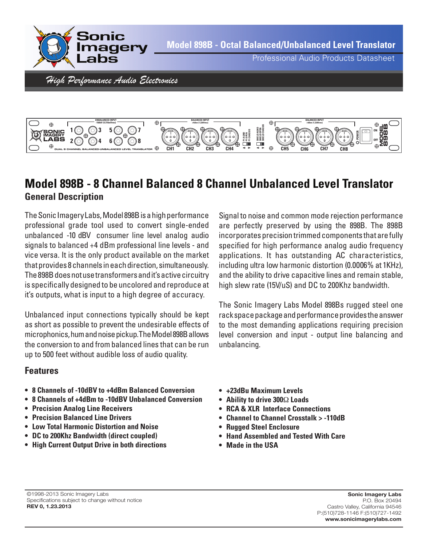



## **Model 898B - 8 Channel Balanced 8 Channel Unbalanced Level Translator General Description**

The Sonic Imagery Labs, Model 898B is a high performance professional grade tool used to convert single-ended unbalanced -10 dBV consumer line level analog audio signals to balanced +4 dBm professional line levels - and vice versa. It is the only product available on the market thatprovides 8channels ineachdirection, simultaneously. The898Bdoesnotusetransformersandit'sactivecircuitry is specifically designed to be uncolored and reproduce at it's outputs, what is input to a high degree of accuracy.

Unbalanced input connections typically should be kept as short as possible to prevent the undesirable effects of microphonics, hum and noise pickup. The Model 898B allows the conversion to and from balanced lines that can be run up to 500 feet without audible loss of audio quality.

### **Features**

- **• 8 Channels of -10dBV to +4dBm Balanced Conversion**
- **• 8 Channels of +4dBm to -10dBV Unbalanced Conversion**
- **• Precision Analog Line Receivers**
- **Precision Balanced Line Drivers**
- **Low Total Harmonic Distortion and Noise**
- **DC to 200Khz Bandwidth (direct coupled)**
- **High Current Output Drive in both directions**

Signal to noise and common mode rejection performance are perfectly preserved by using the 898B. The 898B incorporates precision trimmed components that are fully specified for high performance analog audio frequency applications. It has outstanding AC characteristics, including ultra low harmonic distortion (0.0006% at 1KHz), and the ability to drive capacitive lines and remain stable, high slew rate (15V/uS) and DC to 200Khz bandwidth.

The Sonic Imagery Labs Model 898Bs rugged steel one rack space package and performance provides the answer to the most demanding applications requiring precision level conversion and input - output line balancing and unbalancing.

- **+23dBu Maximum Levels**
- **Ability to drive 300**Ω **Loads**
- **RCA & XLR Interface Connections**
- **Channel to Channel Crosstalk > -110dB**
- **Rugged Steel Enclosure**
- **Hand Assembled and Tested With Care**
- **Made in the USA**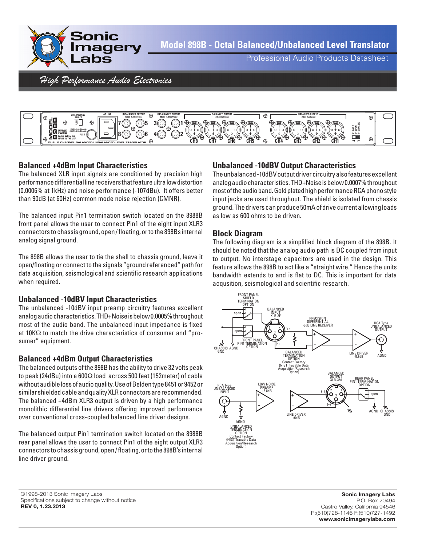

Professional Audio Products Datasheet

High Performance Audio Electronics



#### **Balanced +4dBm Input Characteristics**

The balanced XLR input signals are conditioned by precision high performancedifferentiallinereceiversthatfeatureultralowdistortion (0.0006% at 1kHz) and noise performance (-107dBu). It offers better than 90dB (at 60Hz) common mode noise rejection (CMNR).

The balanced input Pin1 termination switch located on the 8988B front panel allows the user to connect Pin1 of the eight input XLR3 connectors to chassis ground, open / floating, orto the 898Bs internal analog signal ground.

The 898B allows the user to tie the shell to chassis ground, leave it open/floating or connect to the signals "ground referenced" path for data acquisition, seismological and scientific research applications when required.

#### **Unbalanced -10dBV Input Characteristics**

The unbalanced -10dBV input preamp circuitry features excellent analog audio characteristics. THD+Noise is below 0.0005% throughout most of the audio band. The unbalanced input impedance is fixed at 10KΩ to match the drive characteristics of consumer and "prosumer" equipment.

#### **Balanced +4dBm Output Characteristics**

The balanced outputs of the 898B has the ability to drive 32 volts peak to peak (24dBu) into a 600Ω load across 500 feet (152meter) of cable without audible loss of audio quality. Use of Beldentype 8451 or 9452 or similar shielded cable and quality XLR connectors are recommended. The balanced +4dBm XLR3 output is driven by a high performance monolithic differential line drivers offering improved performance over conventional cross-coupled balanced line driver designs.

The balanced output Pin1 termination switch located on the 8988B rear panel allows the user to connect Pin1 of the eight output XLR3 connectors to chassis ground, open/floating, or to the 898B's internal line driver ground.

#### **Unbalanced -10dBV Output Characteristics**

The unbalanced-10dBV output driver circuitry also features excellent analog audio characteristics. THD+Noise is below 0.0007% throughout most of the audio band. Gold plated high performance RCA phono style input jacks are used throughout. The shield is isolated from chassis ground.Thedriverscanproduce50mAofdrivecurrentallowingloads as low as 600 ohms to be driven.

#### **Block Diagram**

The following diagram is a simplified block diagram of the 898B. It should be noted that the analog audio path is DC coupled from input to output. No interstage capacitors are used in the design. This feature allows the 898B to act like a "straight wire." Hence the units bandwidth extends to and is flat to DC. This is important for data acqusition, seismological and scientific research.



©1998-2013 Sonic Imagery Labs Specifications subject to change without notice **REV 0, 1.23.2013**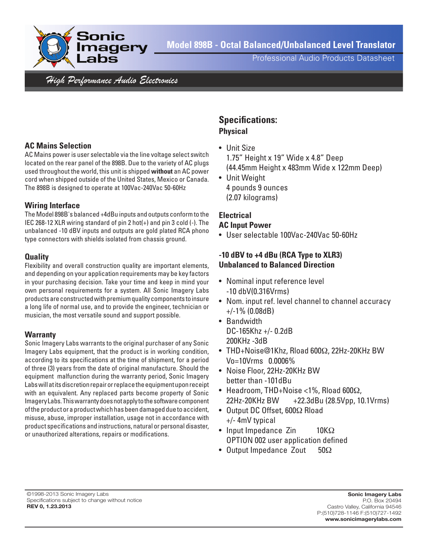

**Model 898B - Octal Balanced/Unbalanced Level Translator**

Professional Audio Products Datasheet

High Performance Audio Electronics

#### **AC Mains Selection**

AC Mains power is user selectable via the line voltage select switch located on the rear panel of the 898B. Due to the variety of AC plugs used throughout the world, this unit is shipped **without** an AC power cord when shipped outside of the United States, Mexico or Canada. The 898B is designed to operate at 100Vac-240Vac 50-60Hz

#### **Wiring Interface**

The Model 898B's balanced +4dBu inputs and outputs conformto the IEC 268-12 XLR wiring standard of pin 2 hot(+) and pin 3 cold (-). The unbalanced -10 dBV inputs and outputs are gold plated RCA phono type connectors with shields isolated from chassis ground.

#### **Quality**

Flexibility and overall construction quality are important elements, and depending on your application requirements may be key factors in your purchasing decision. Take your time and keep in mind your own personal requirements for a system. All Sonic Imagery Labs products are constructed with premium quality components to insure a long life of normal use, and to provide the engineer, technician or musician, the most versatile sound and support possible.

#### **Warranty**

Sonic Imagery Labs warrants to the original purchaser of any Sonic Imagery Labs equipment, that the product is in working condition, according to its specifications at the time of shipment, for a period of three (3) years from the date of original manufacture. Should the equipment malfunction during the warranty period, Sonic Imagery Labs will at its discretion repair or replace the equipment upon receipt with an equivalent. Any replaced parts become property of Sonic ImageryLabs.Thiswarrantydoesnotapplytothesoftwarecomponent ofthe product or a productwhich has been damaged due to accident, misuse, abuse, improper installation, usage not in accordance with product specifications and instructions, natural or personal disaster, or unauthorized alterations, repairs or modifications.

# **Specifications:**

## **Physical**

- Unit Size 1.75" Height x 19" Wide x 4.8" Deep (44.45mm Height x 483mm Wide x 122mm Deep)
- Unit Weight 4 pounds 9 ounces (2.07 kilograms)

#### **Electrical**

#### **AC Input Power**

• User selectable 100Vac-240Vac 50-60Hz

#### **-10 dBV to +4 dBu (RCA Type to XLR3) Unbalanced to Balanced Direction**

- Nominal input reference level -10 dbV(0.316Vrms)
- Nom. input ref. level channel to channel accuracy +/-1% (0.08dB)
- Bandwidth DC-165Khz +/- 0.2dB 200KHz -3dB
- THD+Noise@1Khz, Rload 600Ω, 22Hz-20KHz BW Vo=10Vrms 0.0006%
- Noise Floor, 22Hz-20KHz BW better than -101dBu
- Headroom, THD+Noise <1%, Rload 600 $\Omega$ , 22Hz-20KHz BW +22.3dBu (28.5Vpp, 10.1Vrms)
- Output DC Offset, 600Ω Rload +/- 4mV typical
- Input Impedance Zin  $10K\Omega$  OPTION 002 user application defined
- Output Impedance Zout  $50\Omega$